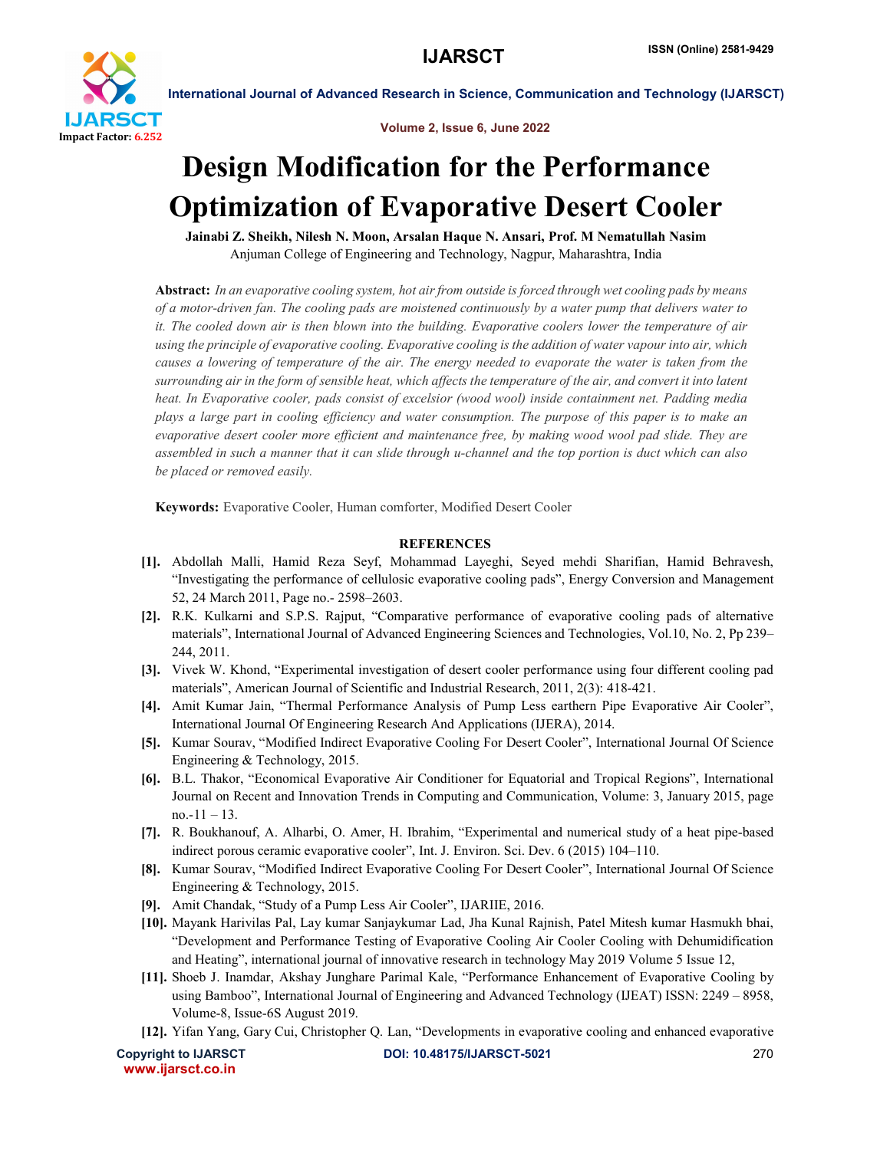

International Journal of Advanced Research in Science, Communication and Technology (IJARSCT)

Volume 2, Issue 6, June 2022

## Design Modification for the Performance Optimization of Evaporative Desert Cooler

Jainabi Z. Sheikh, Nilesh N. Moon, Arsalan Haque N. Ansari, Prof. M Nematullah Nasim Anjuman College of Engineering and Technology, Nagpur, Maharashtra, India

Abstract: *In an evaporative cooling system, hot air from outside is forced through wet cooling pads by means of a motor-driven fan. The cooling pads are moistened continuously by a water pump that delivers water to it. The cooled down air is then blown into the building. Evaporative coolers lower the temperature of air using the principle of evaporative cooling. Evaporative cooling is the addition of water vapour into air, which causes a lowering of temperature of the air. The energy needed to evaporate the water is taken from the surrounding air in the form of sensible heat, which affects the temperature of the air, and convert it into latent heat. In Evaporative cooler, pads consist of excelsior (wood wool) inside containment net. Padding media plays a large part in cooling efficiency and water consumption. The purpose of this paper is to make an evaporative desert cooler more efficient and maintenance free, by making wood wool pad slide. They are assembled in such a manner that it can slide through u-channel and the top portion is duct which can also be placed or removed easily.*

Keywords: Evaporative Cooler, Human comforter, Modified Desert Cooler

## **REFERENCES**

- [1]. Abdollah Malli, Hamid Reza Seyf, Mohammad Layeghi, Seyed mehdi Sharifian, Hamid Behravesh, "Investigating the performance of cellulosic evaporative cooling pads", Energy Conversion and Management 52, 24 March 2011, Page no.- 2598–2603.
- [2]. R.K. Kulkarni and S.P.S. Rajput, "Comparative performance of evaporative cooling pads of alternative materials", International Journal of Advanced Engineering Sciences and Technologies, Vol.10, No. 2, Pp 239– 244, 2011.
- [3]. Vivek W. Khond, "Experimental investigation of desert cooler performance using four different cooling pad materials", American Journal of Scientific and Industrial Research, 2011, 2(3): 418-421.
- [4]. Amit Kumar Jain, "Thermal Performance Analysis of Pump Less earthern Pipe Evaporative Air Cooler", International Journal Of Engineering Research And Applications (IJERA), 2014.
- [5]. Kumar Sourav, "Modified Indirect Evaporative Cooling For Desert Cooler", International Journal Of Science Engineering & Technology, 2015.
- [6]. B.L. Thakor, "Economical Evaporative Air Conditioner for Equatorial and Tropical Regions", International Journal on Recent and Innovation Trends in Computing and Communication, Volume: 3, January 2015, page  $no.-11-13.$
- [7]. R. Boukhanouf, A. Alharbi, O. Amer, H. Ibrahim, "Experimental and numerical study of a heat pipe-based indirect porous ceramic evaporative cooler", Int. J. Environ. Sci. Dev. 6 (2015) 104–110.
- [8]. Kumar Sourav, "Modified Indirect Evaporative Cooling For Desert Cooler", International Journal Of Science Engineering & Technology, 2015.
- [9]. Amit Chandak, "Study of a Pump Less Air Cooler", IJARIIE, 2016.
- [10]. Mayank Harivilas Pal, Lay kumar Sanjaykumar Lad, Jha Kunal Rajnish, Patel Mitesh kumar Hasmukh bhai, "Development and Performance Testing of Evaporative Cooling Air Cooler Cooling with Dehumidification and Heating", international journal of innovative research in technology May 2019 Volume 5 Issue 12,
- [11]. Shoeb J. Inamdar, Akshay Junghare Parimal Kale, "Performance Enhancement of Evaporative Cooling by using Bamboo", International Journal of Engineering and Advanced Technology (IJEAT) ISSN: 2249 – 8958, Volume-8, Issue-6S August 2019.
- [12]. Yifan Yang, Gary Cui, Christopher Q. Lan, "Developments in evaporative cooling and enhanced evaporative

www.ijarsct.co.in